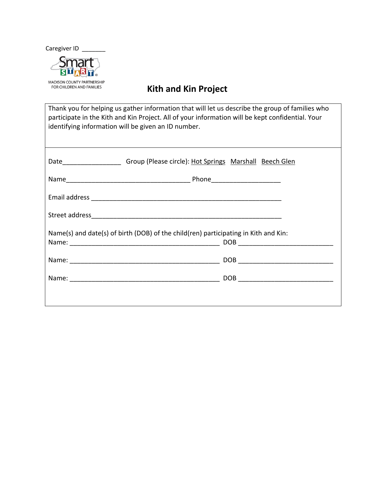Caregiver ID



## **Kith and Kin Project**

Thank you for helping us gather information that will let us describe the group of families who participate in the Kith and Kin Project. All of your information will be kept confidential. Your identifying information will be given an ID number.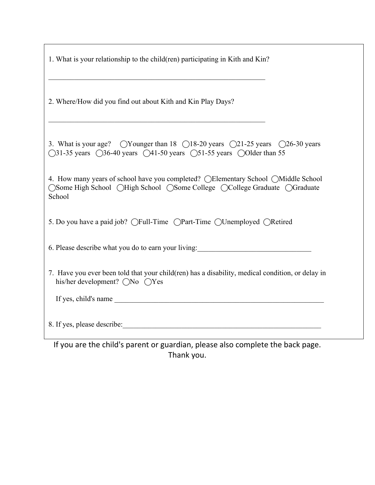| 1. What is your relationship to the child(ren) participating in Kith and Kin?                                                                                                                                                                |
|----------------------------------------------------------------------------------------------------------------------------------------------------------------------------------------------------------------------------------------------|
| 2. Where/How did you find out about Kith and Kin Play Days?                                                                                                                                                                                  |
| 3. What is your age? $\bigcirc$ Younger than 18 $\bigcirc$ 18-20 years $\bigcirc$ 21-25 years $\bigcirc$ 26-30 years<br>$\bigcirc$ 31-35 years $\bigcirc$ 36-40 years $\bigcirc$ 41-50 years $\bigcirc$ 51-55 years $\bigcirc$ Older than 55 |
| 4. How many years of school have you completed? (Elementary School (Middle School)<br>○Some High School ○High School ○Some College ○College Graduate ○Graduate<br>School                                                                     |
| 5. Do you have a paid job? (Full-Time (Part-Time (Unemployed (Retired                                                                                                                                                                        |
| 6. Please describe what you do to earn your living:                                                                                                                                                                                          |
| 7. Have you ever been told that your child(ren) has a disability, medical condition, or delay in<br>his/her development? $\bigcirc$ No $\bigcirc$ Yes                                                                                        |
|                                                                                                                                                                                                                                              |
| 8. If yes, please describe:                                                                                                                                                                                                                  |
| If you are the child's parent or guardian, please also complete the back page.                                                                                                                                                               |

Thank you.